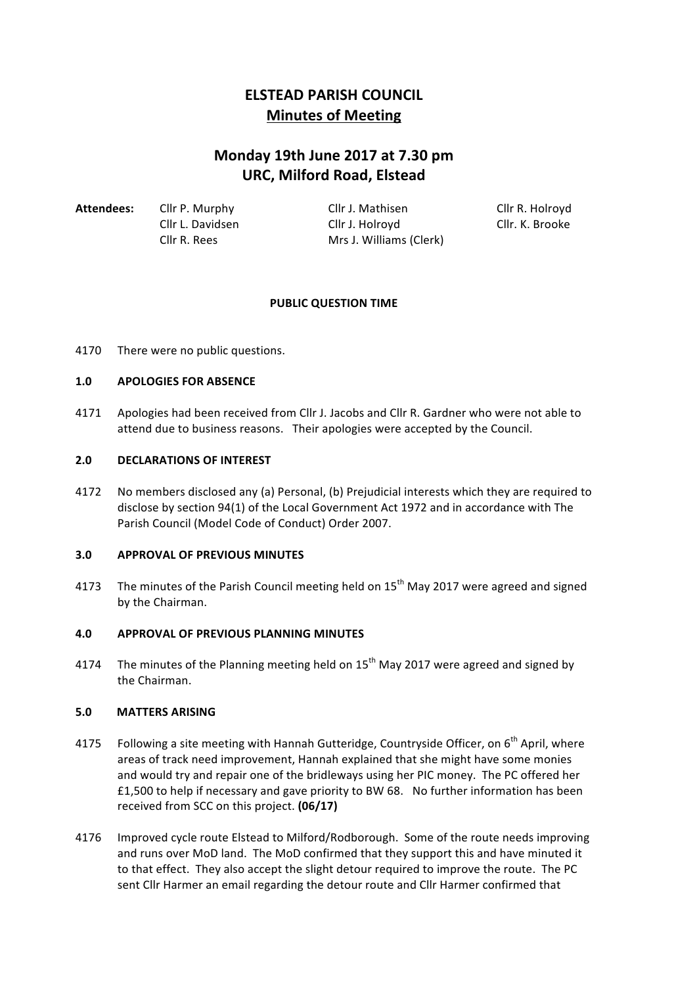# **ELSTEAD PARISH COUNCIL Minutes of Meeting**

# **Monday 19th June 2017 at 7.30 pm URC, Milford Road, Elstead**

| Attendees: | Cllr P. Murphy   | Cllr J. Mathisen        | Cllr R. Holroyd |
|------------|------------------|-------------------------|-----------------|
|            | Cllr L. Davidsen | Cllr J. Holrovd         | Cllr. K. Brooke |
|            | Cllr R. Rees     | Mrs J. Williams (Clerk) |                 |

# **PUBLIC QUESTION TIME**

4170 There were no public questions.

#### **1.0 APOLOGIES FOR ABSENCE**

4171 Apologies had been received from Cllr J. Jacobs and Cllr R. Gardner who were not able to attend due to business reasons. Their apologies were accepted by the Council.

#### **2.0 DECLARATIONS OF INTEREST**

4172 No members disclosed any (a) Personal, (b) Prejudicial interests which they are required to disclose by section 94(1) of the Local Government Act 1972 and in accordance with The Parish Council (Model Code of Conduct) Order 2007.

#### **3.0 APPROVAL OF PREVIOUS MINUTES**

4173 The minutes of the Parish Council meeting held on  $15<sup>th</sup>$  May 2017 were agreed and signed by the Chairman.

# **4.0 APPROVAL OF PREVIOUS PLANNING MINUTES**

4174 The minutes of the Planning meeting held on  $15<sup>th</sup>$  May 2017 were agreed and signed by the Chairman.

#### **5.0 MATTERS ARISING**

- 4175 Following a site meeting with Hannah Gutteridge, Countryside Officer, on  $6<sup>th</sup>$  April, where areas of track need improvement, Hannah explained that she might have some monies and would try and repair one of the bridleways using her PIC money. The PC offered her £1,500 to help if necessary and gave priority to BW 68. No further information has been received from SCC on this project. **(06/17)**
- 4176 Improved cycle route Elstead to Milford/Rodborough. Some of the route needs improving and runs over MoD land. The MoD confirmed that they support this and have minuted it to that effect. They also accept the slight detour required to improve the route. The PC sent Cllr Harmer an email regarding the detour route and Cllr Harmer confirmed that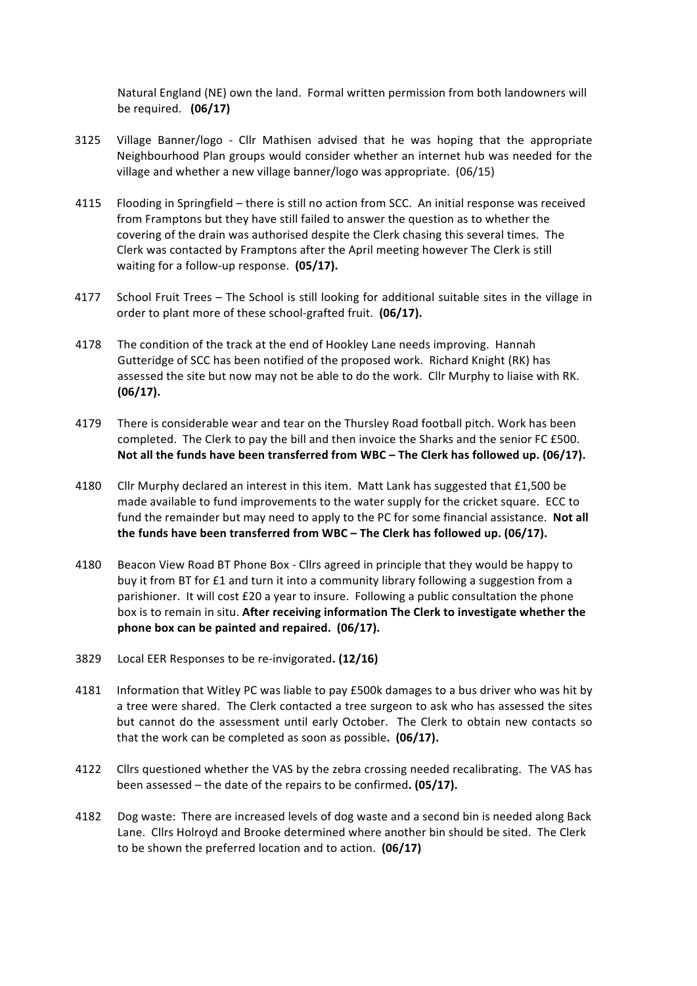Natural England (NE) own the land. Formal written permission from both landowners will be required. **(06/17)** 

- 3125 Village Banner/logo Cllr Mathisen advised that he was hoping that the appropriate Neighbourhood Plan groups would consider whether an internet hub was needed for the village and whether a new village banner/logo was appropriate. (06/15)
- 4115 Flooding in Springfield there is still no action from SCC. An initial response was received from Framptons but they have still failed to answer the question as to whether the covering of the drain was authorised despite the Clerk chasing this several times. The Clerk was contacted by Framptons after the April meeting however The Clerk is still waiting for a follow-up response. (05/17).
- 4177 School Fruit Trees The School is still looking for additional suitable sites in the village in order to plant more of these school-grafted fruit. (06/17).
- 4178 The condition of the track at the end of Hookley Lane needs improving. Hannah Gutteridge of SCC has been notified of the proposed work. Richard Knight (RK) has assessed the site but now may not be able to do the work. Cllr Murphy to liaise with RK. **(06/17).**
- 4179 There is considerable wear and tear on the Thursley Road football pitch. Work has been completed. The Clerk to pay the bill and then invoice the Sharks and the senior FC £500. Not all the funds have been transferred from WBC – The Clerk has followed up. (06/17).
- 4180 Cllr Murphy declared an interest in this item. Matt Lank has suggested that £1,500 be made available to fund improvements to the water supply for the cricket square. ECC to fund the remainder but may need to apply to the PC for some financial assistance. Not all the funds have been transferred from WBC – The Clerk has followed up. (06/17).
- 4180 Beacon View Road BT Phone Box Cllrs agreed in principle that they would be happy to buy it from BT for £1 and turn it into a community library following a suggestion from a parishioner. It will cost  $£20$  a year to insure. Following a public consultation the phone box is to remain in situ. After receiving information The Clerk to investigate whether the **phone box can be painted and repaired.** (06/17).
- 3829 Local EER Responses to be re-invigorated. (12/16)
- 4181 Information that Witley PC was liable to pay £500k damages to a bus driver who was hit by a tree were shared. The Clerk contacted a tree surgeon to ask who has assessed the sites but cannot do the assessment until early October. The Clerk to obtain new contacts so that the work can be completed as soon as possible. **(06/17).**
- 4122 Cllrs questioned whether the VAS by the zebra crossing needed recalibrating. The VAS has been assessed – the date of the repairs to be confirmed. (05/17).
- 4182 Dog waste: There are increased levels of dog waste and a second bin is needed along Back Lane. Cllrs Holroyd and Brooke determined where another bin should be sited. The Clerk to be shown the preferred location and to action. **(06/17)**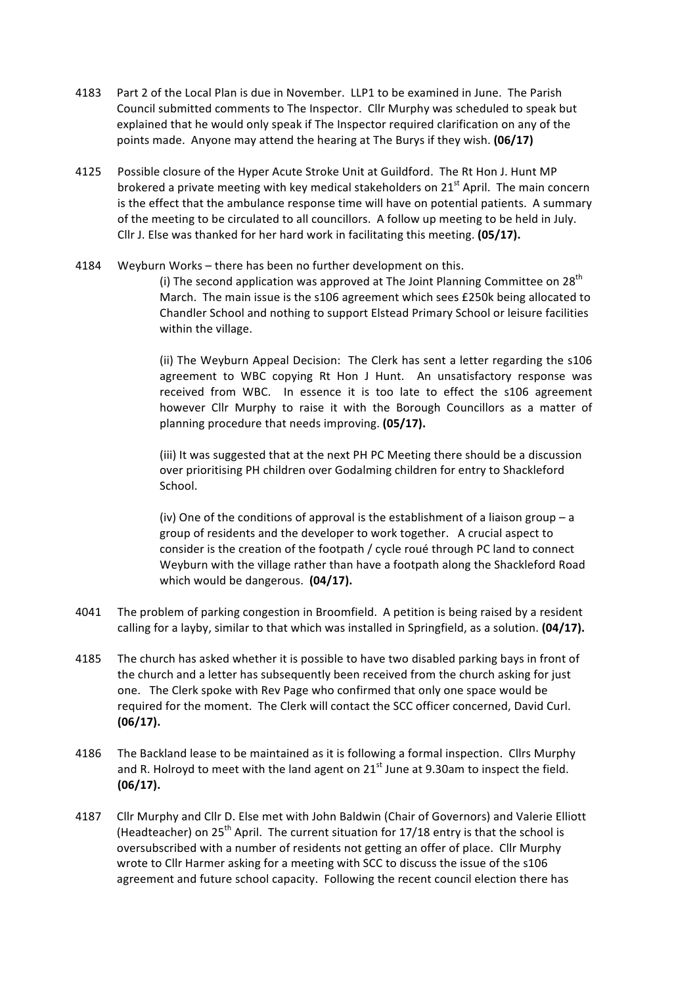- 4183 Part 2 of the Local Plan is due in November. LLP1 to be examined in June. The Parish Council submitted comments to The Inspector. Cllr Murphy was scheduled to speak but explained that he would only speak if The Inspector required clarification on any of the points made. Anyone may attend the hearing at The Burys if they wish. (06/17)
- 4125 Possible closure of the Hyper Acute Stroke Unit at Guildford. The Rt Hon J. Hunt MP brokered a private meeting with key medical stakeholders on  $21^{st}$  April. The main concern is the effect that the ambulance response time will have on potential patients. A summary of the meeting to be circulated to all councillors. A follow up meeting to be held in July. Cllr J. Else was thanked for her hard work in facilitating this meeting. (05/17).
- 4184 Weyburn Works there has been no further development on this.

(i) The second application was approved at The Joint Planning Committee on  $28<sup>th</sup>$ March. The main issue is the s106 agreement which sees £250k being allocated to Chandler School and nothing to support Elstead Primary School or leisure facilities within the village.

(ii) The Weyburn Appeal Decision: The Clerk has sent a letter regarding the s106 agreement to WBC copying Rt Hon J Hunt. An unsatisfactory response was received from WBC. In essence it is too late to effect the s106 agreement however Cllr Murphy to raise it with the Borough Councillors as a matter of planning procedure that needs improving. **(05/17).** 

(iii) It was suggested that at the next PH PC Meeting there should be a discussion over prioritising PH children over Godalming children for entry to Shackleford School. 

(iv) One of the conditions of approval is the establishment of a liaison group  $-$  a group of residents and the developer to work together. A crucial aspect to consider is the creation of the footpath / cycle roué through PC land to connect Weyburn with the village rather than have a footpath along the Shackleford Road which would be dangerous. (04/17).

- 4041 The problem of parking congestion in Broomfield. A petition is being raised by a resident calling for a layby, similar to that which was installed in Springfield, as a solution. (04/17).
- 4185 The church has asked whether it is possible to have two disabled parking bays in front of the church and a letter has subsequently been received from the church asking for just one. The Clerk spoke with Rev Page who confirmed that only one space would be required for the moment. The Clerk will contact the SCC officer concerned, David Curl. **(06/17).**
- 4186 The Backland lease to be maintained as it is following a formal inspection. Cllrs Murphy and R. Holroyd to meet with the land agent on  $21<sup>st</sup>$  June at 9.30am to inspect the field. **(06/17).**
- 4187 Cllr Murphy and Cllr D. Else met with John Baldwin (Chair of Governors) and Valerie Elliott (Headteacher) on 25<sup>th</sup> April. The current situation for 17/18 entry is that the school is oversubscribed with a number of residents not getting an offer of place. Cllr Murphy wrote to Cllr Harmer asking for a meeting with SCC to discuss the issue of the s106 agreement and future school capacity. Following the recent council election there has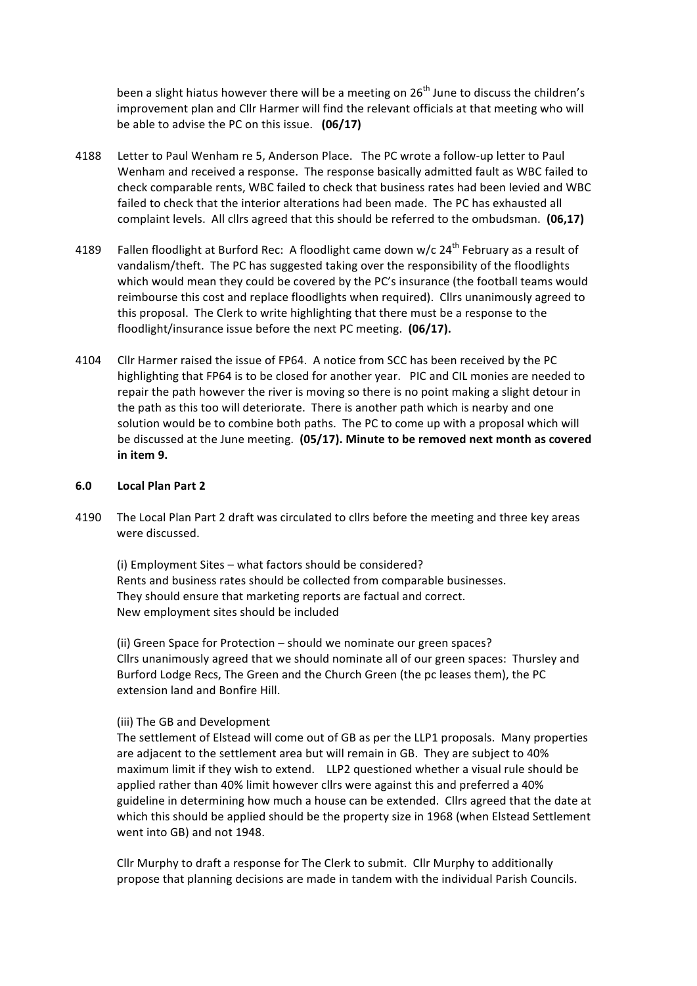been a slight hiatus however there will be a meeting on  $26<sup>th</sup>$  June to discuss the children's improvement plan and Cllr Harmer will find the relevant officials at that meeting who will be able to advise the PC on this issue. **(06/17)** 

- 4188 Letter to Paul Wenham re 5, Anderson Place. The PC wrote a follow-up letter to Paul Wenham and received a response. The response basically admitted fault as WBC failed to check comparable rents, WBC failed to check that business rates had been levied and WBC failed to check that the interior alterations had been made. The PC has exhausted all complaint levels. All clirs agreed that this should be referred to the ombudsman. (06,17)
- 4189 Fallen floodlight at Burford Rec: A floodlight came down w/c  $24<sup>th</sup>$  February as a result of vandalism/theft. The PC has suggested taking over the responsibility of the floodlights which would mean they could be covered by the PC's insurance (the football teams would reimbourse this cost and replace floodlights when required). Cllrs unanimously agreed to this proposal. The Clerk to write highlighting that there must be a response to the floodlight/insurance issue before the next PC meeting. **(06/17).**
- 4104 Cllr Harmer raised the issue of FP64. A notice from SCC has been received by the PC highlighting that FP64 is to be closed for another year. PIC and CIL monies are needed to repair the path however the river is moving so there is no point making a slight detour in the path as this too will deteriorate. There is another path which is nearby and one solution would be to combine both paths. The PC to come up with a proposal which will be discussed at the June meeting. (05/17). Minute to be removed next month as covered **in item 9.**

#### **6.0 Local Plan Part 2**

4190 The Local Plan Part 2 draft was circulated to cllrs before the meeting and three key areas were discussed.

(i) Employment Sites  $-$  what factors should be considered? Rents and business rates should be collected from comparable businesses. They should ensure that marketing reports are factual and correct. New employment sites should be included

(ii) Green Space for Protection – should we nominate our green spaces? Cllrs unanimously agreed that we should nominate all of our green spaces: Thursley and Burford Lodge Recs, The Green and the Church Green (the pc leases them), the PC extension land and Bonfire Hill.

#### (iii) The GB and Development

The settlement of Elstead will come out of GB as per the LLP1 proposals. Many properties are adjacent to the settlement area but will remain in GB. They are subject to 40% maximum limit if they wish to extend. LLP2 questioned whether a visual rule should be applied rather than 40% limit however cllrs were against this and preferred a 40% guideline in determining how much a house can be extended. Cllrs agreed that the date at which this should be applied should be the property size in 1968 (when Elstead Settlement went into GB) and not 1948.

Cllr Murphy to draft a response for The Clerk to submit. Cllr Murphy to additionally propose that planning decisions are made in tandem with the individual Parish Councils.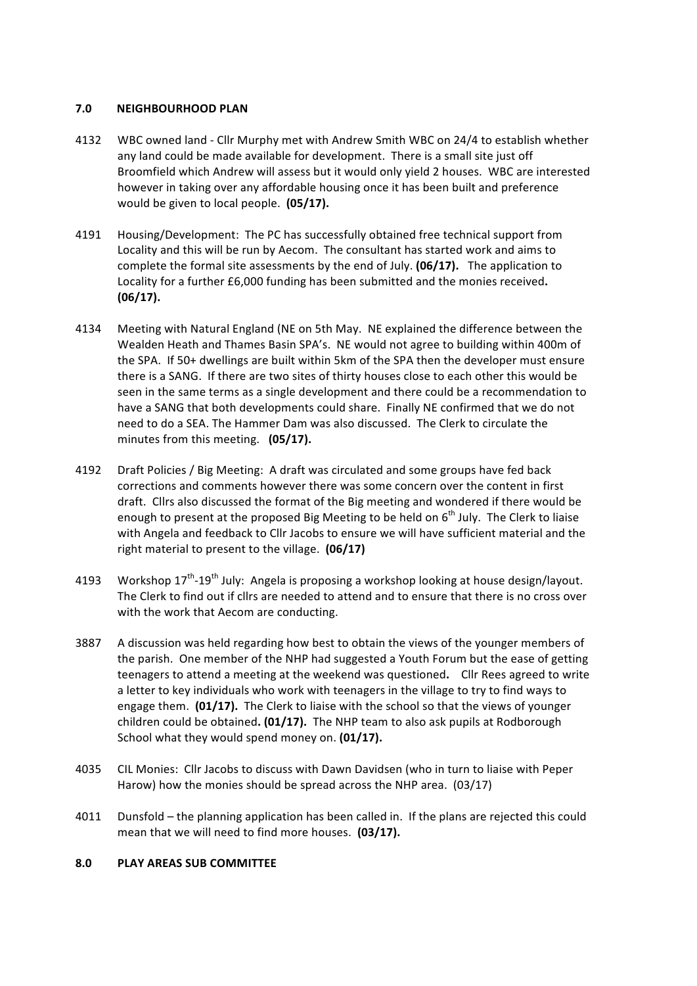### **7.0 NEIGHBOURHOOD PLAN**

- 4132 WBC owned land Cllr Murphy met with Andrew Smith WBC on 24/4 to establish whether any land could be made available for development. There is a small site just off Broomfield which Andrew will assess but it would only yield 2 houses. WBC are interested however in taking over any affordable housing once it has been built and preference would be given to local people. **(05/17).**
- 4191 Housing/Development: The PC has successfully obtained free technical support from Locality and this will be run by Aecom. The consultant has started work and aims to complete the formal site assessments by the end of July. (06/17). The application to Locality for a further £6,000 funding has been submitted and the monies received. **(06/17).**
- 4134 Meeting with Natural England (NE on 5th May. NE explained the difference between the Wealden Heath and Thames Basin SPA's. NE would not agree to building within 400m of the SPA. If 50+ dwellings are built within 5km of the SPA then the developer must ensure there is a SANG. If there are two sites of thirty houses close to each other this would be seen in the same terms as a single development and there could be a recommendation to have a SANG that both developments could share. Finally NE confirmed that we do not need to do a SEA. The Hammer Dam was also discussed. The Clerk to circulate the minutes from this meeting. (05/17).
- 4192 Draft Policies / Big Meeting: A draft was circulated and some groups have fed back corrections and comments however there was some concern over the content in first draft. Cllrs also discussed the format of the Big meeting and wondered if there would be enough to present at the proposed Big Meeting to be held on  $6<sup>th</sup>$  July. The Clerk to liaise with Angela and feedback to Cllr Jacobs to ensure we will have sufficient material and the right material to present to the village. (06/17)
- 4193 Workshop  $17^{th}$ -19<sup>th</sup> July: Angela is proposing a workshop looking at house design/layout. The Clerk to find out if cllrs are needed to attend and to ensure that there is no cross over with the work that Aecom are conducting.
- 3887 A discussion was held regarding how best to obtain the views of the younger members of the parish. One member of the NHP had suggested a Youth Forum but the ease of getting teenagers to attend a meeting at the weekend was questioned. Cllr Rees agreed to write a letter to key individuals who work with teenagers in the village to try to find ways to engage them. **(01/17).** The Clerk to liaise with the school so that the views of younger children could be obtained. (01/17). The NHP team to also ask pupils at Rodborough School what they would spend money on. **(01/17).**
- 4035 CIL Monies: Cllr Jacobs to discuss with Dawn Davidsen (who in turn to liaise with Peper Harow) how the monies should be spread across the NHP area.  $(03/17)$
- 4011 Dunsfold the planning application has been called in. If the plans are rejected this could mean that we will need to find more houses. (03/17).

# **8.0 PLAY AREAS SUB COMMITTEE**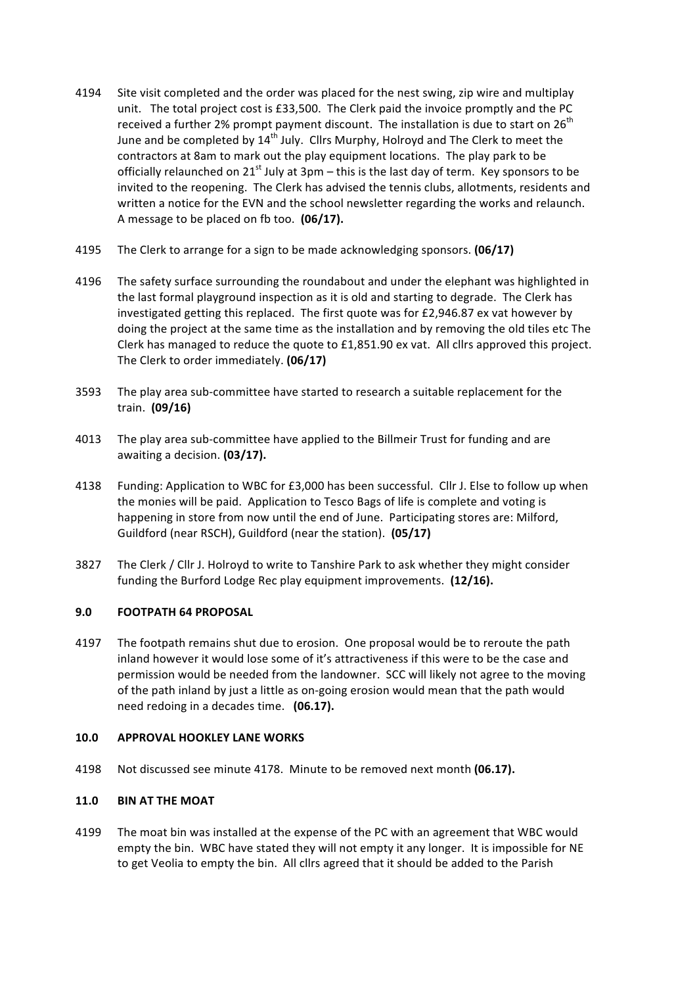- 4194 Site visit completed and the order was placed for the nest swing, zip wire and multiplay unit. The total project cost is £33,500. The Clerk paid the invoice promptly and the PC received a further 2% prompt payment discount. The installation is due to start on  $26^{th}$ June and be completed by  $14^{th}$  July. Cllrs Murphy, Holroyd and The Clerk to meet the contractors at 8am to mark out the play equipment locations. The play park to be officially relaunched on  $21^{st}$  July at  $3pm -$  this is the last day of term. Key sponsors to be invited to the reopening. The Clerk has advised the tennis clubs, allotments, residents and written a notice for the EVN and the school newsletter regarding the works and relaunch. A message to be placed on fb too. **(06/17).**
- 4195 The Clerk to arrange for a sign to be made acknowledging sponsors. **(06/17)**
- 4196 The safety surface surrounding the roundabout and under the elephant was highlighted in the last formal playground inspection as it is old and starting to degrade. The Clerk has investigated getting this replaced. The first quote was for £2,946.87 ex vat however by doing the project at the same time as the installation and by removing the old tiles etc The Clerk has managed to reduce the quote to  $£1,851.90$  ex vat. All cllrs approved this project. The Clerk to order immediately. **(06/17)**
- 3593 The play area sub-committee have started to research a suitable replacement for the train. **(09/16)**
- 4013 The play area sub-committee have applied to the Billmeir Trust for funding and are awaiting a decision. (03/17).
- 4138 Funding: Application to WBC for £3,000 has been successful. Cllr J. Else to follow up when the monies will be paid. Application to Tesco Bags of life is complete and voting is happening in store from now until the end of June. Participating stores are: Milford, Guildford (near RSCH), Guildford (near the station). (05/17)
- 3827 The Clerk / Cllr J. Holroyd to write to Tanshire Park to ask whether they might consider funding the Burford Lodge Rec play equipment improvements. (12/16).

# **9.0 FOOTPATH 64 PROPOSAL**

4197 The footpath remains shut due to erosion. One proposal would be to reroute the path inland however it would lose some of it's attractiveness if this were to be the case and permission would be needed from the landowner. SCC will likely not agree to the moving of the path inland by just a little as on-going erosion would mean that the path would need redoing in a decades time. (06.17).

# **10.0 APPROVAL HOOKLEY LANE WORKS**

4198 Not discussed see minute 4178. Minute to be removed next month (06.17).

# **11.0 BIN AT THE MOAT**

4199 The moat bin was installed at the expense of the PC with an agreement that WBC would empty the bin. WBC have stated they will not empty it any longer. It is impossible for NE to get Veolia to empty the bin. All cllrs agreed that it should be added to the Parish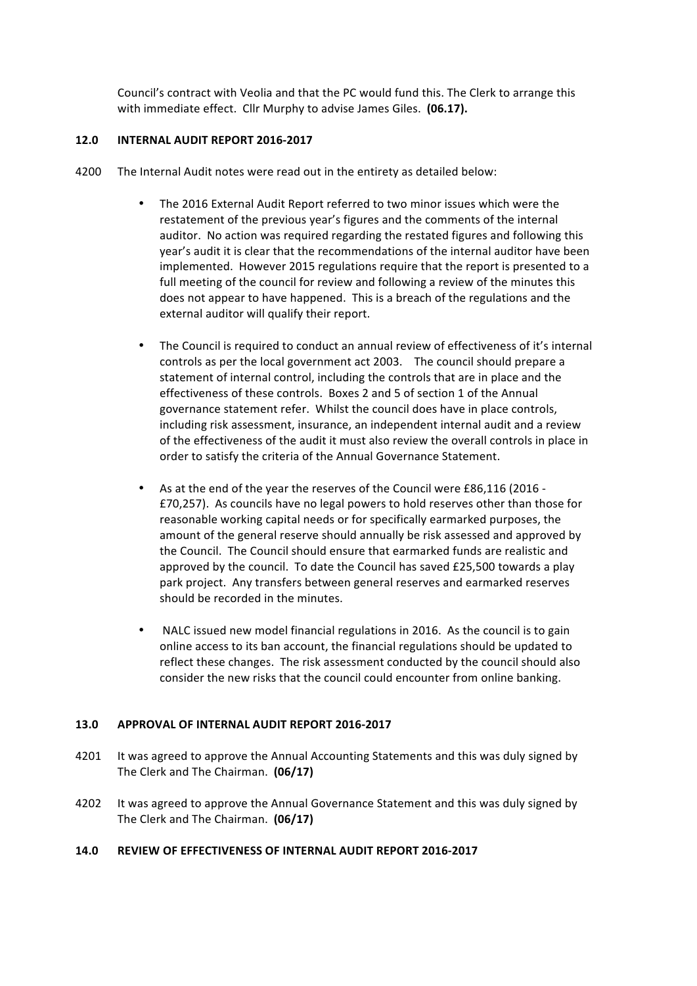Council's contract with Veolia and that the PC would fund this. The Clerk to arrange this with immediate effect. Cllr Murphy to advise James Giles. (06.17).

#### **12.0 INTERNAL AUDIT REPORT 2016-2017**

- 4200 The Internal Audit notes were read out in the entirety as detailed below:
	- The 2016 External Audit Report referred to two minor issues which were the restatement of the previous year's figures and the comments of the internal auditor. No action was required regarding the restated figures and following this year's audit it is clear that the recommendations of the internal auditor have been implemented. However 2015 regulations require that the report is presented to a full meeting of the council for review and following a review of the minutes this does not appear to have happened. This is a breach of the regulations and the external auditor will qualify their report.
	- The Council is required to conduct an annual review of effectiveness of it's internal controls as per the local government act 2003. The council should prepare a statement of internal control, including the controls that are in place and the effectiveness of these controls. Boxes 2 and 5 of section 1 of the Annual governance statement refer. Whilst the council does have in place controls, including risk assessment, insurance, an independent internal audit and a review of the effectiveness of the audit it must also review the overall controls in place in order to satisfy the criteria of the Annual Governance Statement.
	- As at the end of the year the reserves of the Council were £86,116 (2016 -£70,257). As councils have no legal powers to hold reserves other than those for reasonable working capital needs or for specifically earmarked purposes, the amount of the general reserve should annually be risk assessed and approved by the Council. The Council should ensure that earmarked funds are realistic and approved by the council. To date the Council has saved £25,500 towards a play park project. Any transfers between general reserves and earmarked reserves should be recorded in the minutes.
	- NALC issued new model financial regulations in 2016. As the council is to gain online access to its ban account, the financial regulations should be updated to reflect these changes. The risk assessment conducted by the council should also consider the new risks that the council could encounter from online banking.

# 13.0 APPROVAL OF INTERNAL AUDIT REPORT 2016-2017

- 4201 It was agreed to approve the Annual Accounting Statements and this was duly signed by The Clerk and The Chairman. (06/17)
- 4202 It was agreed to approve the Annual Governance Statement and this was duly signed by The Clerk and The Chairman. (06/17)

# 14.0 REVIEW OF EFFECTIVENESS OF INTERNAL AUDIT REPORT 2016-2017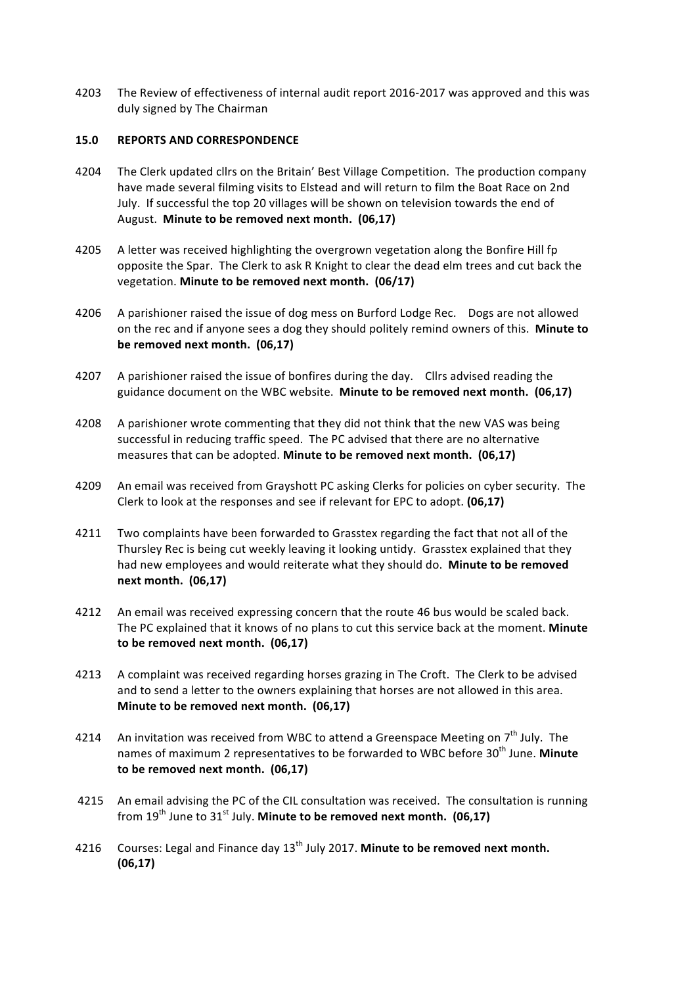4203 The Review of effectiveness of internal audit report 2016-2017 was approved and this was duly signed by The Chairman

# **15.0 REPORTS AND CORRESPONDENCE**

- 4204 The Clerk updated cllrs on the Britain' Best Village Competition. The production company have made several filming visits to Elstead and will return to film the Boat Race on 2nd July. If successful the top 20 villages will be shown on television towards the end of August. Minute to be removed next month. (06,17)
- 4205 A letter was received highlighting the overgrown vegetation along the Bonfire Hill fp opposite the Spar. The Clerk to ask R Knight to clear the dead elm trees and cut back the vegetation. Minute to be removed next month. (06/17)
- 4206 A parishioner raised the issue of dog mess on Burford Lodge Rec. Dogs are not allowed on the rec and if anyone sees a dog they should politely remind owners of this. Minute to be removed next month. (06,17)
- 4207 A parishioner raised the issue of bonfires during the day. Cllrs advised reading the guidance document on the WBC website. **Minute to be removed next month.** (06,17)
- 4208 A parishioner wrote commenting that they did not think that the new VAS was being successful in reducing traffic speed. The PC advised that there are no alternative measures that can be adopted. Minute to be removed next month. (06,17)
- 4209 An email was received from Grayshott PC asking Clerks for policies on cyber security. The Clerk to look at the responses and see if relevant for EPC to adopt. **(06,17)**
- 4211 Two complaints have been forwarded to Grasstex regarding the fact that not all of the Thursley Rec is being cut weekly leaving it looking untidy. Grasstex explained that they had new employees and would reiterate what they should do. **Minute to be removed next month. (06,17)**
- 4212 An email was received expressing concern that the route 46 bus would be scaled back. The PC explained that it knows of no plans to cut this service back at the moment. Minute to be removed next month. (06,17)
- 4213 A complaint was received regarding horses grazing in The Croft. The Clerk to be advised and to send a letter to the owners explaining that horses are not allowed in this area. **Minute to be removed next month. (06,17)**
- 4214 An invitation was received from WBC to attend a Greenspace Meeting on  $7<sup>th</sup>$  July. The names of maximum 2 representatives to be forwarded to WBC before 30<sup>th</sup> June. Minute to be removed next month. (06,17)
- 4215 An email advising the PC of the CIL consultation was received. The consultation is running from  $19<sup>th</sup>$  June to  $31<sup>st</sup>$  July. Minute to be removed next month. (06,17)
- 4216 Courses: Legal and Finance day 13<sup>th</sup> July 2017. Minute to be removed next month. **(06,17)**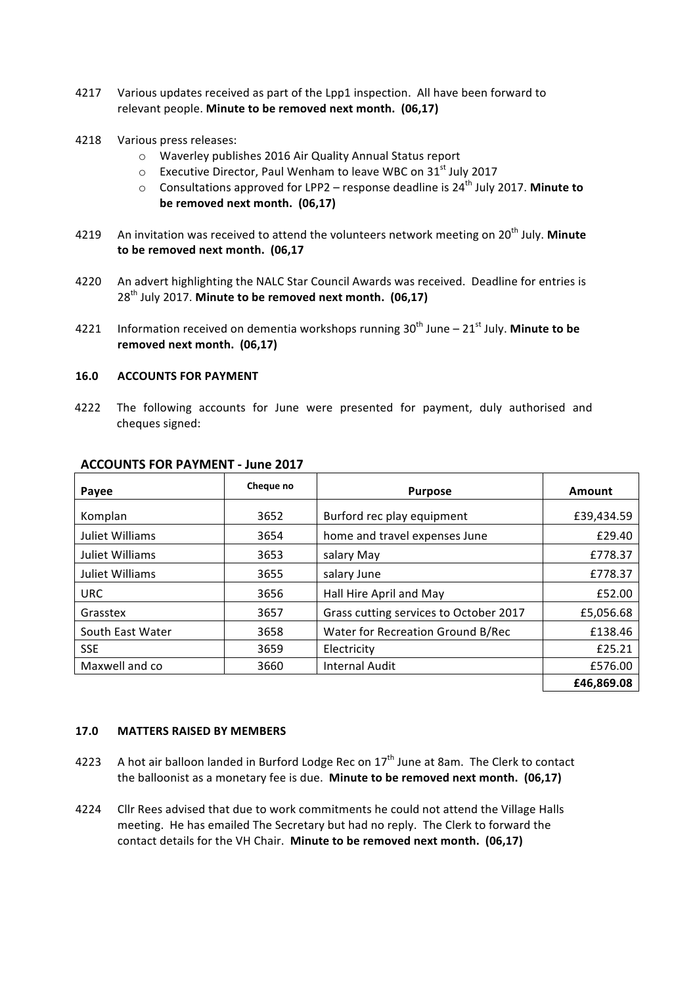- 4217 Various updates received as part of the Lpp1 inspection. All have been forward to relevant people. Minute to be removed next month. (06,17)
- 4218 Various press releases:
	- o Waverley publishes 2016 Air Quality Annual Status report
	- $\circ$  Executive Director, Paul Wenham to leave WBC on 31<sup>st</sup> July 2017
	- $\circ$  Consultations approved for LPP2 response deadline is 24<sup>th</sup> July 2017. Minute to be removed next month. (06,17)
- 4219 An invitation was received to attend the volunteers network meeting on 20<sup>th</sup> July. Minute to be removed next month. (06,17
- 4220 An advert highlighting the NALC Star Council Awards was received. Deadline for entries is 28<sup>th</sup> July 2017. Minute to be removed next month. (06,17)
- 4221 Information received on dementia workshops running  $30<sup>th</sup>$  June  $21<sup>st</sup>$  July. **Minute to be** removed next month. (06,17)

#### **16.0 ACCOUNTS FOR PAYMENT**

4222 The following accounts for June were presented for payment, duly authorised and cheques signed:

| Payee            | Cheque no | <b>Purpose</b>                         | Amount     |
|------------------|-----------|----------------------------------------|------------|
| Komplan          | 3652      | Burford rec play equipment             | £39,434.59 |
| Juliet Williams  | 3654      | home and travel expenses June          | £29.40     |
| Juliet Williams  | 3653      | salary May                             | £778.37    |
| Juliet Williams  | 3655      | salary June                            | £778.37    |
| <b>URC</b>       | 3656      | Hall Hire April and May                | £52.00     |
| Grasstex         | 3657      | Grass cutting services to October 2017 | £5,056.68  |
| South East Water | 3658      | Water for Recreation Ground B/Rec      | £138.46    |
| <b>SSE</b>       | 3659      | Electricity                            | £25.21     |
| Maxwell and co   | 3660      | <b>Internal Audit</b>                  | £576.00    |
|                  |           |                                        | £46,869.08 |

#### **ACCOUNTS FOR PAYMENT - June 2017**

#### **17.0 MATTERS RAISED BY MEMBERS**

- 4223 A hot air balloon landed in Burford Lodge Rec on  $17<sup>th</sup>$  June at 8am. The Clerk to contact the balloonist as a monetary fee is due. Minute to be removed next month. (06,17)
- 4224 Cllr Rees advised that due to work commitments he could not attend the Village Halls meeting. He has emailed The Secretary but had no reply. The Clerk to forward the contact details for the VH Chair. **Minute to be removed next month.** (06.17)